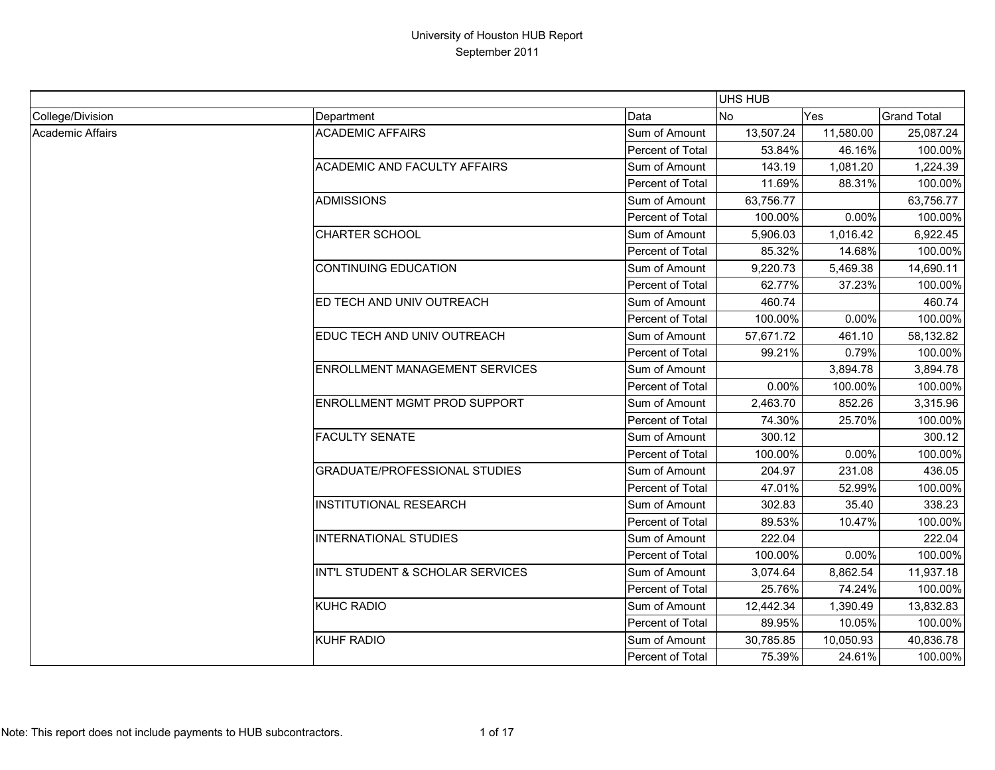|                  |                                       |                  | <b>UHS HUB</b> |           |                    |
|------------------|---------------------------------------|------------------|----------------|-----------|--------------------|
| College/Division | Department                            | Data             | No             | Yes       | <b>Grand Total</b> |
| Academic Affairs | <b>ACADEMIC AFFAIRS</b>               | Sum of Amount    | 13,507.24      | 11,580.00 | 25,087.24          |
|                  |                                       | Percent of Total | 53.84%         | 46.16%    | 100.00%            |
|                  | <b>ACADEMIC AND FACULTY AFFAIRS</b>   | Sum of Amount    | 143.19         | 1,081.20  | 1,224.39           |
|                  |                                       | Percent of Total | 11.69%         | 88.31%    | 100.00%            |
|                  | <b>ADMISSIONS</b>                     | Sum of Amount    | 63,756.77      |           | 63,756.77          |
|                  |                                       | Percent of Total | 100.00%        | 0.00%     | 100.00%            |
|                  | <b>CHARTER SCHOOL</b>                 | Sum of Amount    | 5,906.03       | 1,016.42  | 6,922.45           |
|                  |                                       | Percent of Total | 85.32%         | 14.68%    | 100.00%            |
|                  | <b>CONTINUING EDUCATION</b>           | Sum of Amount    | 9,220.73       | 5,469.38  | 14,690.11          |
|                  |                                       | Percent of Total | 62.77%         | 37.23%    | 100.00%            |
|                  | ED TECH AND UNIV OUTREACH             | Sum of Amount    | 460.74         |           | 460.74             |
|                  |                                       | Percent of Total | 100.00%        | 0.00%     | 100.00%            |
|                  | EDUC TECH AND UNIV OUTREACH           | Sum of Amount    | 57,671.72      | 461.10    | 58,132.82          |
|                  |                                       | Percent of Total | 99.21%         | 0.79%     | 100.00%            |
|                  | <b>ENROLLMENT MANAGEMENT SERVICES</b> | Sum of Amount    |                | 3,894.78  | 3,894.78           |
|                  |                                       | Percent of Total | 0.00%          | 100.00%   | 100.00%            |
|                  | <b>ENROLLMENT MGMT PROD SUPPORT</b>   | Sum of Amount    | 2,463.70       | 852.26    | 3,315.96           |
|                  |                                       | Percent of Total | 74.30%         | 25.70%    | 100.00%            |
|                  | <b>FACULTY SENATE</b>                 | Sum of Amount    | 300.12         |           | 300.12             |
|                  |                                       | Percent of Total | 100.00%        | 0.00%     | 100.00%            |
|                  | <b>GRADUATE/PROFESSIONAL STUDIES</b>  | Sum of Amount    | 204.97         | 231.08    | 436.05             |
|                  |                                       | Percent of Total | 47.01%         | 52.99%    | 100.00%            |
|                  | <b>INSTITUTIONAL RESEARCH</b>         | Sum of Amount    | 302.83         | 35.40     | 338.23             |
|                  |                                       | Percent of Total | 89.53%         | 10.47%    | 100.00%            |
|                  | <b>INTERNATIONAL STUDIES</b>          | Sum of Amount    | 222.04         |           | 222.04             |
|                  |                                       | Percent of Total | 100.00%        | 0.00%     | 100.00%            |
|                  | INT'L STUDENT & SCHOLAR SERVICES      | Sum of Amount    | 3,074.64       | 8.862.54  | 11,937.18          |
|                  |                                       | Percent of Total | 25.76%         | 74.24%    | 100.00%            |
|                  | <b>KUHC RADIO</b>                     | Sum of Amount    | 12,442.34      | 1,390.49  | 13,832.83          |
|                  |                                       | Percent of Total | 89.95%         | 10.05%    | 100.00%            |
|                  | <b>KUHF RADIO</b>                     | Sum of Amount    | 30,785.85      | 10,050.93 | 40,836.78          |
|                  |                                       | Percent of Total | 75.39%         | 24.61%    | 100.00%            |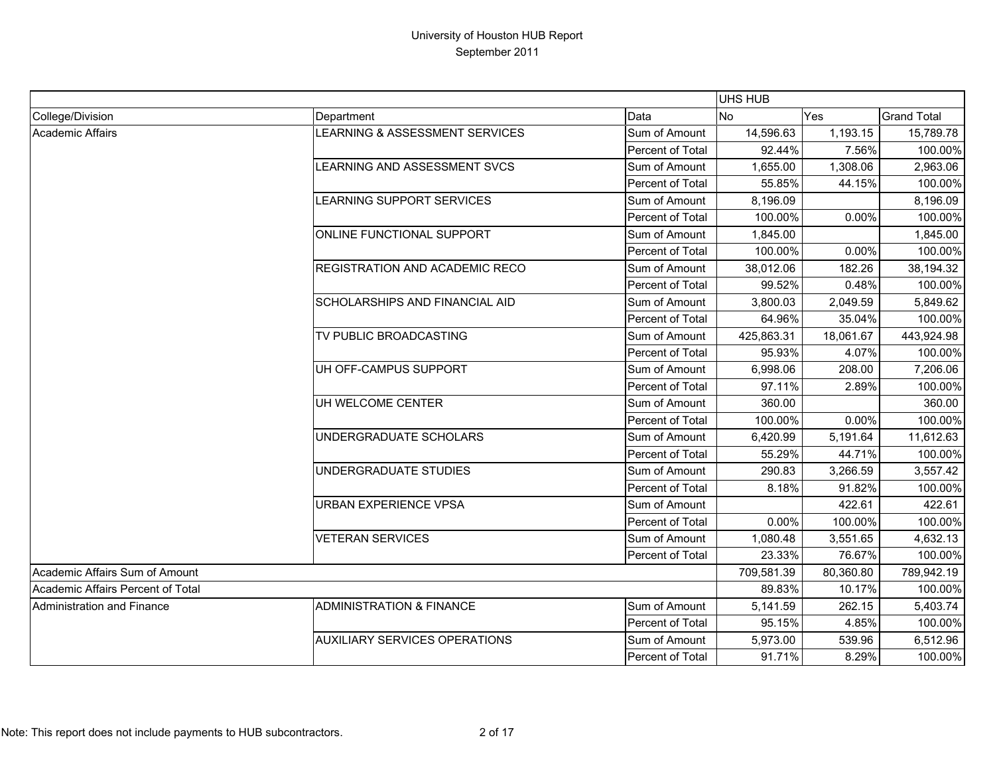|                                   |                                       |                         | UHS HUB    |           |                    |
|-----------------------------------|---------------------------------------|-------------------------|------------|-----------|--------------------|
| College/Division                  | Department                            | Data                    | No         | Yes       | <b>Grand Total</b> |
| Academic Affairs                  | LEARNING & ASSESSMENT SERVICES        | Sum of Amount           | 14,596.63  | 1,193.15  | 15,789.78          |
|                                   |                                       | Percent of Total        | 92.44%     | 7.56%     | 100.00%            |
|                                   | LEARNING AND ASSESSMENT SVCS          | Sum of Amount           | 1,655.00   | 1,308.06  | 2,963.06           |
|                                   |                                       | Percent of Total        | 55.85%     | 44.15%    | 100.00%            |
|                                   | LEARNING SUPPORT SERVICES             | Sum of Amount           | 8,196.09   |           | 8,196.09           |
|                                   |                                       | Percent of Total        | 100.00%    | 0.00%     | 100.00%            |
|                                   | ONLINE FUNCTIONAL SUPPORT             | Sum of Amount           | 1,845.00   |           | 1,845.00           |
|                                   |                                       | Percent of Total        | 100.00%    | 0.00%     | 100.00%            |
|                                   | <b>REGISTRATION AND ACADEMIC RECO</b> | Sum of Amount           | 38,012.06  | 182.26    | 38,194.32          |
|                                   |                                       | Percent of Total        | 99.52%     | 0.48%     | 100.00%            |
|                                   | <b>SCHOLARSHIPS AND FINANCIAL AID</b> | Sum of Amount           | 3,800.03   | 2,049.59  | 5,849.62           |
|                                   |                                       | Percent of Total        | 64.96%     | 35.04%    | 100.00%            |
|                                   | TV PUBLIC BROADCASTING                | Sum of Amount           | 425,863.31 | 18,061.67 | 443,924.98         |
|                                   |                                       | Percent of Total        | 95.93%     | 4.07%     | 100.00%            |
|                                   | UH OFF-CAMPUS SUPPORT                 | Sum of Amount           | 6,998.06   | 208.00    | 7,206.06           |
|                                   |                                       | Percent of Total        | 97.11%     | 2.89%     | 100.00%            |
|                                   | UH WELCOME CENTER                     | Sum of Amount           | 360.00     |           | 360.00             |
|                                   |                                       | Percent of Total        | 100.00%    | 0.00%     | 100.00%            |
|                                   | UNDERGRADUATE SCHOLARS                | Sum of Amount           | 6,420.99   | 5,191.64  | 11,612.63          |
|                                   |                                       | Percent of Total        | 55.29%     | 44.71%    | 100.00%            |
|                                   | UNDERGRADUATE STUDIES                 | Sum of Amount           | 290.83     | 3,266.59  | 3,557.42           |
|                                   |                                       | Percent of Total        | 8.18%      | 91.82%    | 100.00%            |
|                                   | URBAN EXPERIENCE VPSA                 | Sum of Amount           |            | 422.61    | 422.61             |
|                                   |                                       | Percent of Total        | $0.00\%$   | 100.00%   | 100.00%            |
|                                   | <b>VETERAN SERVICES</b>               | Sum of Amount           | 1,080.48   | 3,551.65  | 4,632.13           |
|                                   |                                       | Percent of Total        | 23.33%     | 76.67%    | 100.00%            |
| Academic Affairs Sum of Amount    |                                       |                         | 709,581.39 | 80,360.80 | 789,942.19         |
| Academic Affairs Percent of Total |                                       |                         | 89.83%     | 10.17%    | 100.00%            |
| <b>Administration and Finance</b> | <b>ADMINISTRATION &amp; FINANCE</b>   | Sum of Amount           | 5,141.59   | 262.15    | 5,403.74           |
|                                   |                                       | Percent of Total        | 95.15%     | 4.85%     | 100.00%            |
|                                   | <b>AUXILIARY SERVICES OPERATIONS</b>  | Sum of Amount           | 5,973.00   | 539.96    | 6,512.96           |
|                                   |                                       | <b>Percent of Total</b> | 91.71%     | 8.29%     | 100.00%            |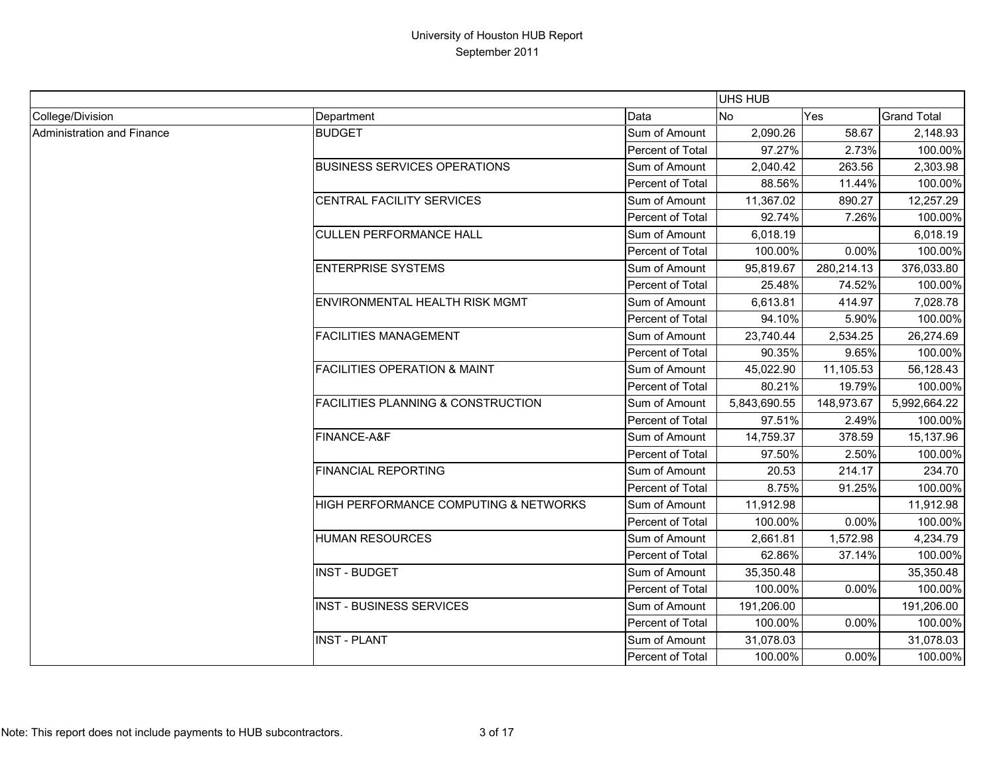|                            |                                               |                  | UHS HUB      |            |                    |
|----------------------------|-----------------------------------------------|------------------|--------------|------------|--------------------|
| College/Division           | Department                                    | Data             | No           | Yes        | <b>Grand Total</b> |
| Administration and Finance | <b>BUDGET</b>                                 | Sum of Amount    | 2,090.26     | 58.67      | 2,148.93           |
|                            |                                               | Percent of Total | 97.27%       | 2.73%      | 100.00%            |
|                            | <b>BUSINESS SERVICES OPERATIONS</b>           | Sum of Amount    | 2,040.42     | 263.56     | 2,303.98           |
|                            |                                               | Percent of Total | 88.56%       | 11.44%     | 100.00%            |
|                            | CENTRAL FACILITY SERVICES                     | Sum of Amount    | 11,367.02    | 890.27     | 12,257.29          |
|                            |                                               | Percent of Total | 92.74%       | 7.26%      | 100.00%            |
|                            | <b>CULLEN PERFORMANCE HALL</b>                | Sum of Amount    | 6,018.19     |            | 6,018.19           |
|                            |                                               | Percent of Total | 100.00%      | 0.00%      | 100.00%            |
|                            | <b>ENTERPRISE SYSTEMS</b>                     | Sum of Amount    | 95,819.67    | 280,214.13 | 376,033.80         |
|                            |                                               | Percent of Total | 25.48%       | 74.52%     | 100.00%            |
|                            | ENVIRONMENTAL HEALTH RISK MGMT                | Sum of Amount    | 6,613.81     | 414.97     | 7,028.78           |
|                            |                                               | Percent of Total | 94.10%       | 5.90%      | 100.00%            |
|                            | <b>FACILITIES MANAGEMENT</b>                  | Sum of Amount    | 23,740.44    | 2,534.25   | 26,274.69          |
|                            |                                               | Percent of Total | 90.35%       | 9.65%      | 100.00%            |
|                            | <b>FACILITIES OPERATION &amp; MAINT</b>       | Sum of Amount    | 45,022.90    | 11,105.53  | 56,128.43          |
|                            |                                               | Percent of Total | 80.21%       | 19.79%     | 100.00%            |
|                            | <b>FACILITIES PLANNING &amp; CONSTRUCTION</b> | Sum of Amount    | 5,843,690.55 | 148,973.67 | 5,992,664.22       |
|                            |                                               | Percent of Total | 97.51%       | 2.49%      | 100.00%            |
|                            | FINANCE-A&F                                   | Sum of Amount    | 14,759.37    | 378.59     | 15,137.96          |
|                            |                                               | Percent of Total | 97.50%       | 2.50%      | 100.00%            |
|                            | <b>FINANCIAL REPORTING</b>                    | Sum of Amount    | 20.53        | 214.17     | 234.70             |
|                            |                                               | Percent of Total | 8.75%        | 91.25%     | 100.00%            |
|                            | HIGH PERFORMANCE COMPUTING & NETWORKS         | Sum of Amount    | 11,912.98    |            | 11,912.98          |
|                            |                                               | Percent of Total | 100.00%      | 0.00%      | 100.00%            |
|                            | <b>HUMAN RESOURCES</b>                        | Sum of Amount    | 2,661.81     | 1,572.98   | 4,234.79           |
|                            |                                               | Percent of Total | 62.86%       | 37.14%     | 100.00%            |
|                            | <b>INST - BUDGET</b>                          | Sum of Amount    | 35,350.48    |            | 35,350.48          |
|                            |                                               | Percent of Total | 100.00%      | 0.00%      | 100.00%            |
|                            | <b>INST - BUSINESS SERVICES</b>               | Sum of Amount    | 191,206.00   |            | 191,206.00         |
|                            |                                               | Percent of Total | 100.00%      | $0.00\%$   | 100.00%            |
|                            | <b>INST - PLANT</b>                           | Sum of Amount    | 31,078.03    |            | 31,078.03          |
|                            |                                               | Percent of Total | 100.00%      | $0.00\%$   | 100.00%            |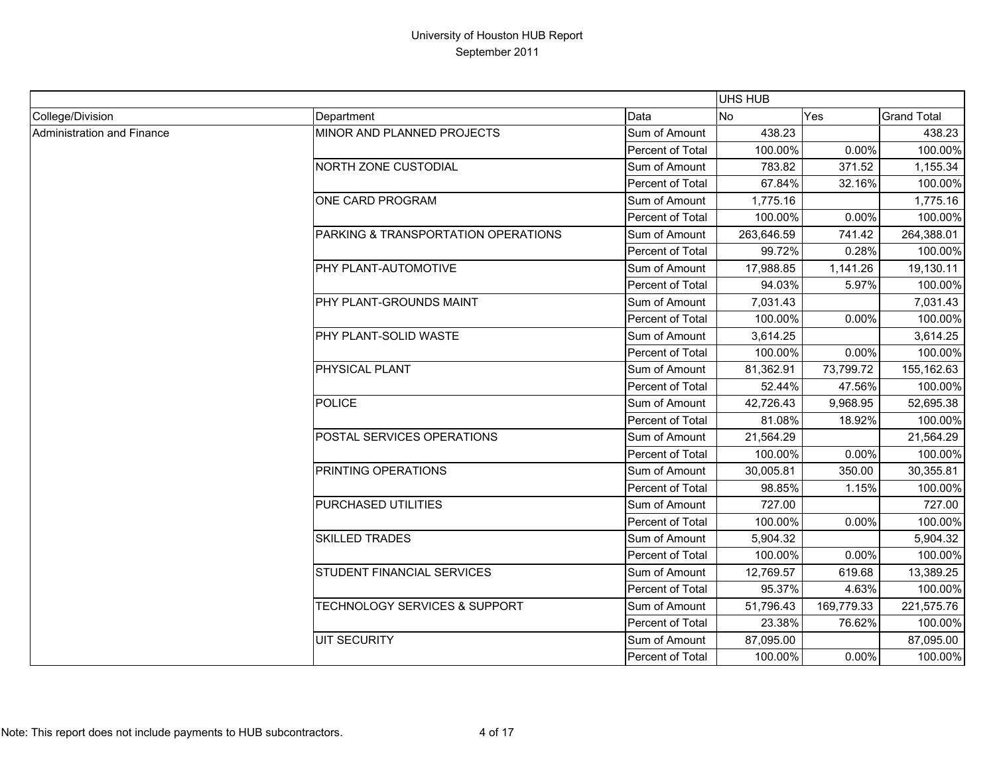|                            |                                     |                  | <b>UHS HUB</b> |            |                    |
|----------------------------|-------------------------------------|------------------|----------------|------------|--------------------|
| College/Division           | Department                          | Data             | No             | <b>Yes</b> | <b>Grand Total</b> |
| Administration and Finance | MINOR AND PLANNED PROJECTS          | Sum of Amount    | 438.23         |            | 438.23             |
|                            |                                     | Percent of Total | 100.00%        | 0.00%      | 100.00%            |
|                            | <b>NORTH ZONE CUSTODIAL</b>         | Sum of Amount    | 783.82         | 371.52     | 1,155.34           |
|                            |                                     | Percent of Total | 67.84%         | 32.16%     | 100.00%            |
|                            | ONE CARD PROGRAM                    | Sum of Amount    | 1,775.16       |            | 1,775.16           |
|                            |                                     | Percent of Total | 100.00%        | 0.00%      | 100.00%            |
|                            | PARKING & TRANSPORTATION OPERATIONS | Sum of Amount    | 263,646.59     | 741.42     | 264,388.01         |
|                            |                                     | Percent of Total | 99.72%         | 0.28%      | 100.00%            |
|                            | PHY PLANT-AUTOMOTIVE                | Sum of Amount    | 17,988.85      | 1,141.26   | 19,130.11          |
|                            |                                     | Percent of Total | 94.03%         | 5.97%      | 100.00%            |
|                            | PHY PLANT-GROUNDS MAINT             | Sum of Amount    | 7,031.43       |            | 7,031.43           |
|                            |                                     | Percent of Total | 100.00%        | 0.00%      | 100.00%            |
|                            | PHY PLANT-SOLID WASTE               | Sum of Amount    | 3,614.25       |            | 3,614.25           |
|                            |                                     | Percent of Total | 100.00%        | 0.00%      | 100.00%            |
|                            | PHYSICAL PLANT                      | Sum of Amount    | 81,362.91      | 73,799.72  | 155,162.63         |
|                            |                                     | Percent of Total | 52.44%         | 47.56%     | 100.00%            |
|                            | <b>POLICE</b>                       | Sum of Amount    | 42,726.43      | 9,968.95   | 52,695.38          |
|                            |                                     | Percent of Total | 81.08%         | 18.92%     | 100.00%            |
|                            | POSTAL SERVICES OPERATIONS          | Sum of Amount    | 21,564.29      |            | 21,564.29          |
|                            |                                     | Percent of Total | 100.00%        | 0.00%      | 100.00%            |
|                            | PRINTING OPERATIONS                 | Sum of Amount    | 30,005.81      | 350.00     | 30,355.81          |
|                            |                                     | Percent of Total | 98.85%         | 1.15%      | 100.00%            |
|                            | PURCHASED UTILITIES                 | Sum of Amount    | 727.00         |            | 727.00             |
|                            |                                     | Percent of Total | 100.00%        | 0.00%      | 100.00%            |
|                            | <b>SKILLED TRADES</b>               | Sum of Amount    | 5,904.32       |            | 5,904.32           |
|                            |                                     | Percent of Total | 100.00%        | 0.00%      | 100.00%            |
|                            | STUDENT FINANCIAL SERVICES          | Sum of Amount    | 12,769.57      | 619.68     | 13,389.25          |
|                            |                                     | Percent of Total | 95.37%         | 4.63%      | 100.00%            |
|                            | TECHNOLOGY SERVICES & SUPPORT       | Sum of Amount    | 51,796.43      | 169,779.33 | 221,575.76         |
|                            |                                     | Percent of Total | 23.38%         | 76.62%     | 100.00%            |
|                            | <b>UIT SECURITY</b>                 | Sum of Amount    | 87,095.00      |            | 87,095.00          |
|                            |                                     | Percent of Total | 100.00%        | 0.00%      | 100.00%            |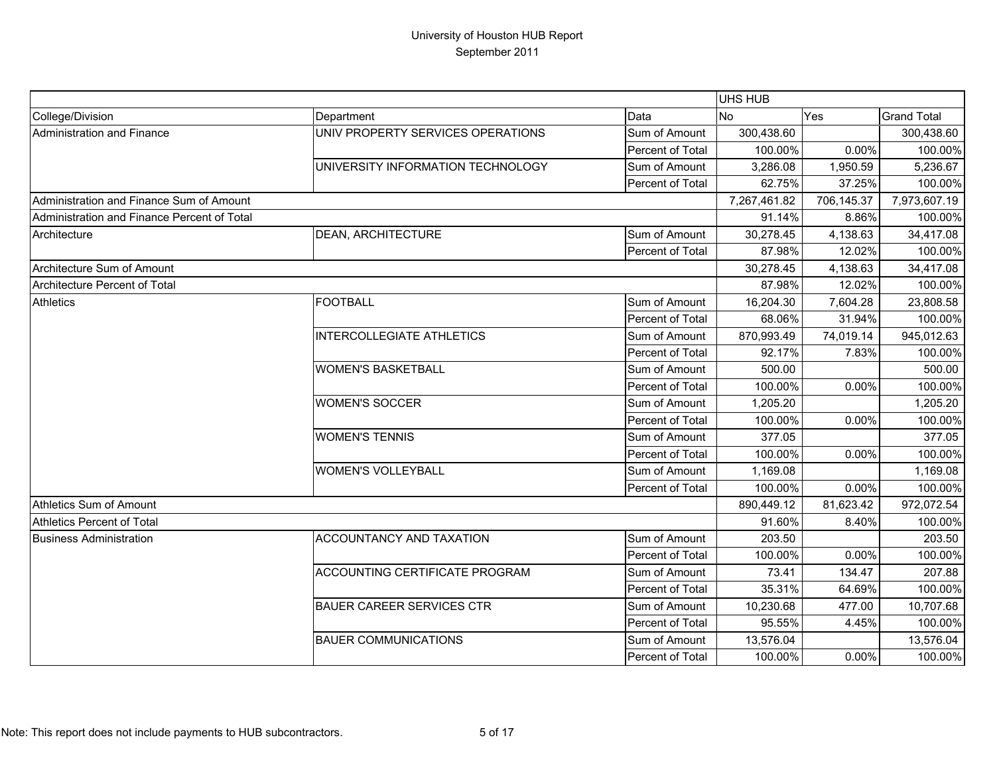|                                             |                                   |                  | UHS HUB      |            |                    |
|---------------------------------------------|-----------------------------------|------------------|--------------|------------|--------------------|
| College/Division                            | Department                        | Data             | <b>No</b>    | Yes        | <b>Grand Total</b> |
| Administration and Finance                  | UNIV PROPERTY SERVICES OPERATIONS | Sum of Amount    | 300,438.60   |            | 300,438.60         |
|                                             |                                   | Percent of Total | 100.00%      | 0.00%      | 100.00%            |
|                                             | UNIVERSITY INFORMATION TECHNOLOGY | Sum of Amount    | 3,286.08     | 1,950.59   | 5,236.67           |
|                                             |                                   | Percent of Total | 62.75%       | 37.25%     | 100.00%            |
| Administration and Finance Sum of Amount    |                                   |                  | 7,267,461.82 | 706,145.37 | 7,973,607.19       |
| Administration and Finance Percent of Total |                                   |                  | 91.14%       | 8.86%      | 100.00%            |
| Architecture                                | <b>DEAN, ARCHITECTURE</b>         | Sum of Amount    | 30,278.45    | 4,138.63   | 34,417.08          |
|                                             |                                   | Percent of Total | 87.98%       | 12.02%     | 100.00%            |
| Architecture Sum of Amount                  |                                   |                  | 30,278.45    | 4,138.63   | 34,417.08          |
| Architecture Percent of Total               |                                   |                  | 87.98%       | 12.02%     | 100.00%            |
| <b>Athletics</b>                            | <b>FOOTBALL</b>                   | Sum of Amount    | 16,204.30    | 7,604.28   | 23,808.58          |
|                                             |                                   | Percent of Total | 68.06%       | 31.94%     | 100.00%            |
|                                             | <b>INTERCOLLEGIATE ATHLETICS</b>  | Sum of Amount    | 870,993.49   | 74,019.14  | 945,012.63         |
|                                             |                                   | Percent of Total | 92.17%       | 7.83%      | 100.00%            |
|                                             | <b>WOMEN'S BASKETBALL</b>         | Sum of Amount    | 500.00       |            | 500.00             |
|                                             |                                   | Percent of Total | 100.00%      | 0.00%      | 100.00%            |
|                                             | <b>WOMEN'S SOCCER</b>             | Sum of Amount    | 1,205.20     |            | 1,205.20           |
|                                             |                                   | Percent of Total | 100.00%      | 0.00%      | 100.00%            |
|                                             | <b>WOMEN'S TENNIS</b>             | Sum of Amount    | 377.05       |            | 377.05             |
|                                             |                                   | Percent of Total | 100.00%      | 0.00%      | 100.00%            |
|                                             | <b>WOMEN'S VOLLEYBALL</b>         | Sum of Amount    | 1,169.08     |            | 1,169.08           |
|                                             |                                   | Percent of Total | 100.00%      | 0.00%      | 100.00%            |
| Athletics Sum of Amount                     |                                   |                  | 890,449.12   | 81,623.42  | 972,072.54         |
| <b>Athletics Percent of Total</b>           |                                   |                  | 91.60%       | 8.40%      | 100.00%            |
| <b>Business Administration</b>              | <b>ACCOUNTANCY AND TAXATION</b>   | Sum of Amount    | 203.50       |            | 203.50             |
|                                             |                                   | Percent of Total | 100.00%      | 0.00%      | 100.00%            |
|                                             | ACCOUNTING CERTIFICATE PROGRAM    | Sum of Amount    | 73.41        | 134.47     | 207.88             |
|                                             |                                   | Percent of Total | 35.31%       | 64.69%     | 100.00%            |
|                                             | <b>BAUER CAREER SERVICES CTR</b>  | Sum of Amount    | 10,230.68    | 477.00     | 10,707.68          |
|                                             |                                   | Percent of Total | 95.55%       | 4.45%      | 100.00%            |
|                                             | <b>BAUER COMMUNICATIONS</b>       | Sum of Amount    | 13,576.04    |            | 13,576.04          |
|                                             |                                   | Percent of Total | 100.00%      | 0.00%      | 100.00%            |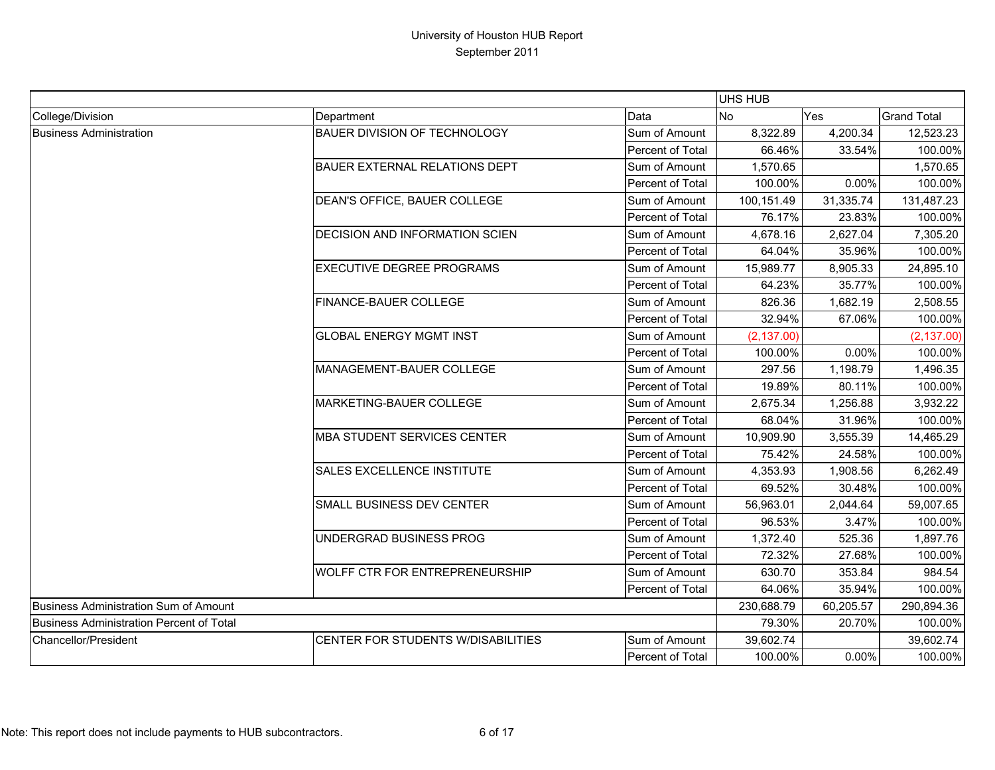|                                                 |                                       |                         | UHS HUB     |            |                    |
|-------------------------------------------------|---------------------------------------|-------------------------|-------------|------------|--------------------|
| College/Division                                | Department                            | Data                    | <b>No</b>   | Yes        | <b>Grand Total</b> |
| <b>Business Administration</b>                  | BAUER DIVISION OF TECHNOLOGY          | Sum of Amount           | 8,322.89    | 4,200.34   | 12,523.23          |
|                                                 |                                       | Percent of Total        | 66.46%      | 33.54%     | 100.00%            |
|                                                 | <b>BAUER EXTERNAL RELATIONS DEPT</b>  | Sum of Amount           | 1,570.65    |            | 1,570.65           |
|                                                 |                                       | Percent of Total        | 100.00%     | 0.00%      | 100.00%            |
|                                                 | DEAN'S OFFICE, BAUER COLLEGE          | Sum of Amount           | 100,151.49  | 31,335.74  | 131,487.23         |
|                                                 |                                       | Percent of Total        | 76.17%      | 23.83%     | 100.00%            |
|                                                 | <b>DECISION AND INFORMATION SCIEN</b> | Sum of Amount           | 4,678.16    | 2,627.04   | 7,305.20           |
|                                                 |                                       | <b>Percent of Total</b> | 64.04%      | 35.96%     | 100.00%            |
|                                                 | EXECUTIVE DEGREE PROGRAMS             | Sum of Amount           | 15,989.77   | 8,905.33   | 24,895.10          |
|                                                 |                                       | Percent of Total        | 64.23%      | 35.77%     | 100.00%            |
|                                                 | FINANCE-BAUER COLLEGE                 | Sum of Amount           | 826.36      | 1,682.19   | 2,508.55           |
|                                                 |                                       | Percent of Total        | 32.94%      | 67.06%     | 100.00%            |
|                                                 | <b>GLOBAL ENERGY MGMT INST</b>        | Sum of Amount           | (2, 137.00) |            | (2, 137.00)        |
|                                                 |                                       | Percent of Total        | 100.00%     | 0.00%      | 100.00%            |
|                                                 | MANAGEMENT-BAUER COLLEGE              | Sum of Amount           | 297.56      | 1,198.79   | 1,496.35           |
|                                                 |                                       | Percent of Total        | 19.89%      | 80.11%     | 100.00%            |
|                                                 | MARKETING-BAUER COLLEGE               | Sum of Amount           | 2,675.34    | 1,256.88   | 3,932.22           |
|                                                 |                                       | <b>Percent of Total</b> | 68.04%      | 31.96%     | 100.00%            |
|                                                 | MBA STUDENT SERVICES CENTER           | Sum of Amount           | 10,909.90   | 3,555.39   | 14,465.29          |
|                                                 |                                       | Percent of Total        | 75.42%      | 24.58%     | 100.00%            |
|                                                 | SALES EXCELLENCE INSTITUTE            | Sum of Amount           | 4,353.93    | 1,908.56   | 6,262.49           |
|                                                 |                                       | Percent of Total        | 69.52%      | 30.48%     | 100.00%            |
|                                                 | SMALL BUSINESS DEV CENTER             | Sum of Amount           | 56,963.01   | 2,044.64   | 59,007.65          |
|                                                 |                                       | Percent of Total        | 96.53%      | 3.47%      | 100.00%            |
|                                                 | UNDERGRAD BUSINESS PROG               | Sum of Amount           | 1,372.40    | 525.36     | 1,897.76           |
|                                                 |                                       | <b>Percent of Total</b> | 72.32%      | 27.68%     | 100.00%            |
|                                                 | WOLFF CTR FOR ENTREPRENEURSHIP        | Sum of Amount           | 630.70      | 353.84     | 984.54             |
|                                                 |                                       | Percent of Total        | 64.06%      | 35.94%     | 100.00%            |
| Business Administration Sum of Amount           |                                       | 230,688.79              | 60,205.57   | 290,894.36 |                    |
| <b>Business Administration Percent of Total</b> |                                       |                         | 79.30%      | 20.70%     | 100.00%            |
| <b>Chancellor/President</b>                     | CENTER FOR STUDENTS W/DISABILITIES    | Sum of Amount           | 39,602.74   |            | 39,602.74          |
|                                                 |                                       | <b>Percent of Total</b> | 100.00%     | 0.00%      | 100.00%            |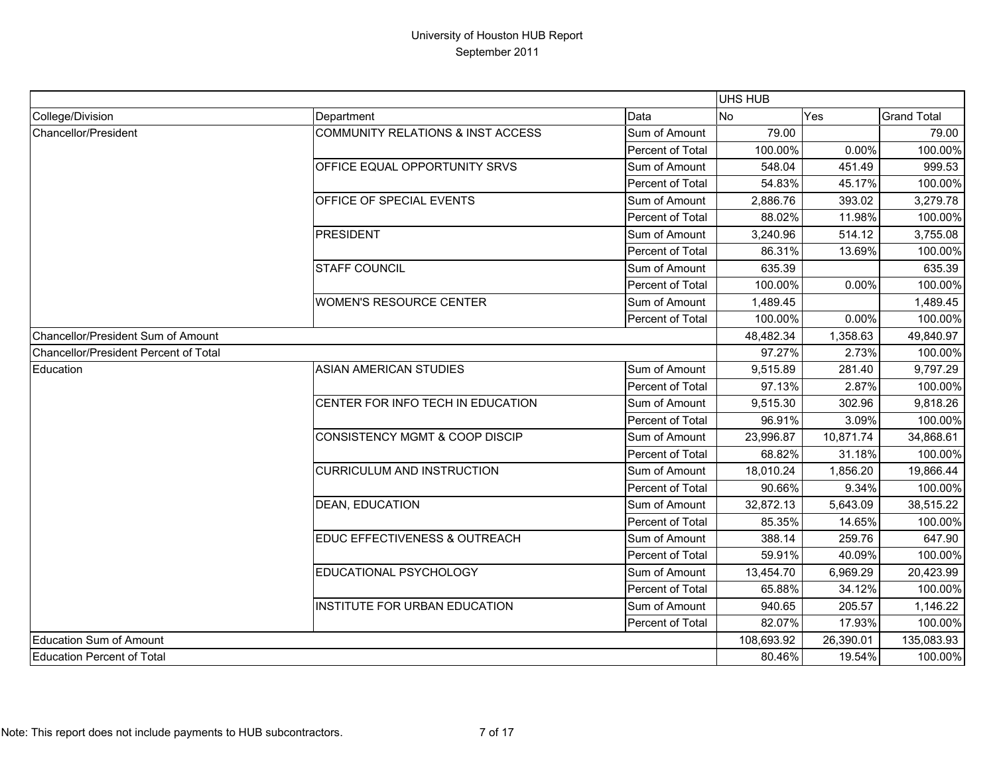|                                       |                                      |                  | <b>UHS HUB</b> |           |                    |
|---------------------------------------|--------------------------------------|------------------|----------------|-----------|--------------------|
| College/Division                      | Department                           | Data             | No             | Yes       | <b>Grand Total</b> |
| Chancellor/President                  | COMMUNITY RELATIONS & INST ACCESS    | Sum of Amount    | 79.00          |           | 79.00              |
|                                       |                                      | Percent of Total | 100.00%        | 0.00%     | 100.00%            |
|                                       | OFFICE EQUAL OPPORTUNITY SRVS        | Sum of Amount    | 548.04         | 451.49    | 999.53             |
|                                       |                                      | Percent of Total | 54.83%         | 45.17%    | 100.00%            |
|                                       | OFFICE OF SPECIAL EVENTS             | Sum of Amount    | 2,886.76       | 393.02    | 3,279.78           |
|                                       |                                      | Percent of Total | 88.02%         | 11.98%    | 100.00%            |
|                                       | <b>PRESIDENT</b>                     | Sum of Amount    | 3,240.96       | 514.12    | 3,755.08           |
|                                       |                                      | Percent of Total | 86.31%         | 13.69%    | 100.00%            |
|                                       | <b>STAFF COUNCIL</b>                 | Sum of Amount    | 635.39         |           | 635.39             |
|                                       |                                      | Percent of Total | 100.00%        | 0.00%     | 100.00%            |
|                                       | <b>WOMEN'S RESOURCE CENTER</b>       | Sum of Amount    | 1,489.45       |           | 1,489.45           |
|                                       |                                      | Percent of Total | 100.00%        | 0.00%     | 100.00%            |
| Chancellor/President Sum of Amount    |                                      |                  | 48,482.34      | 1,358.63  | 49,840.97          |
| Chancellor/President Percent of Total |                                      |                  | 97.27%         | 2.73%     | 100.00%            |
| Education                             | <b>ASIAN AMERICAN STUDIES</b>        | Sum of Amount    | 9,515.89       | 281.40    | 9,797.29           |
|                                       |                                      | Percent of Total | 97.13%         | 2.87%     | 100.00%            |
|                                       | CENTER FOR INFO TECH IN EDUCATION    | Sum of Amount    | 9,515.30       | 302.96    | 9,818.26           |
|                                       |                                      | Percent of Total | 96.91%         | 3.09%     | 100.00%            |
|                                       | CONSISTENCY MGMT & COOP DISCIP       | Sum of Amount    | 23,996.87      | 10,871.74 | 34,868.61          |
|                                       |                                      | Percent of Total | 68.82%         | 31.18%    | 100.00%            |
|                                       | <b>CURRICULUM AND INSTRUCTION</b>    | Sum of Amount    | 18,010.24      | 1,856.20  | 19,866.44          |
|                                       |                                      | Percent of Total | 90.66%         | 9.34%     | 100.00%            |
|                                       | <b>DEAN, EDUCATION</b>               | Sum of Amount    | 32,872.13      | 5,643.09  | 38,515.22          |
|                                       |                                      | Percent of Total | 85.35%         | 14.65%    | 100.00%            |
|                                       | EDUC EFFECTIVENESS & OUTREACH        | Sum of Amount    | 388.14         | 259.76    | 647.90             |
|                                       |                                      | Percent of Total | 59.91%         | 40.09%    | 100.00%            |
|                                       | EDUCATIONAL PSYCHOLOGY               | Sum of Amount    | 13,454.70      | 6,969.29  | 20,423.99          |
|                                       |                                      | Percent of Total | 65.88%         | 34.12%    | 100.00%            |
|                                       | <b>INSTITUTE FOR URBAN EDUCATION</b> | Sum of Amount    | 940.65         | 205.57    | 1,146.22           |
|                                       |                                      | Percent of Total | 82.07%         | 17.93%    | 100.00%            |
| <b>Education Sum of Amount</b>        |                                      |                  | 108,693.92     | 26,390.01 | 135,083.93         |
| Education Percent of Total            |                                      |                  | 80.46%         | 19.54%    | 100.00%            |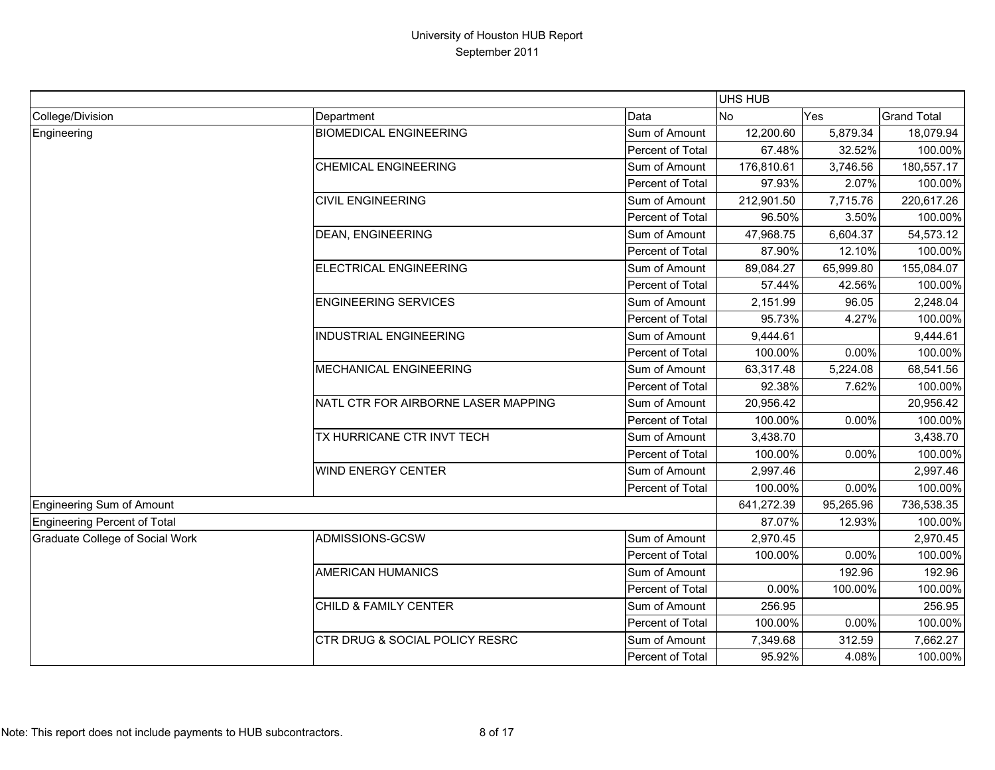|                                        |                                           |                  | <b>UHS HUB</b> |           |                    |
|----------------------------------------|-------------------------------------------|------------------|----------------|-----------|--------------------|
| College/Division                       | Department                                | Data             | <b>No</b>      | Yes       | <b>Grand Total</b> |
| Engineering                            | <b>BIOMEDICAL ENGINEERING</b>             | Sum of Amount    | 12,200.60      | 5,879.34  | 18,079.94          |
|                                        |                                           | Percent of Total | 67.48%         | 32.52%    | 100.00%            |
|                                        | <b>CHEMICAL ENGINEERING</b>               | Sum of Amount    | 176,810.61     | 3,746.56  | 180,557.17         |
|                                        |                                           | Percent of Total | 97.93%         | 2.07%     | 100.00%            |
|                                        | <b>CIVIL ENGINEERING</b>                  | Sum of Amount    | 212,901.50     | 7,715.76  | 220,617.26         |
|                                        |                                           | Percent of Total | 96.50%         | 3.50%     | 100.00%            |
|                                        | <b>DEAN, ENGINEERING</b>                  | Sum of Amount    | 47,968.75      | 6,604.37  | 54,573.12          |
|                                        |                                           | Percent of Total | 87.90%         | 12.10%    | 100.00%            |
|                                        | ELECTRICAL ENGINEERING                    | Sum of Amount    | 89,084.27      | 65,999.80 | 155,084.07         |
|                                        |                                           | Percent of Total | 57.44%         | 42.56%    | 100.00%            |
|                                        | <b>ENGINEERING SERVICES</b>               | Sum of Amount    | 2,151.99       | 96.05     | 2,248.04           |
|                                        |                                           | Percent of Total | 95.73%         | 4.27%     | 100.00%            |
|                                        | <b>INDUSTRIAL ENGINEERING</b>             | Sum of Amount    | 9,444.61       |           | 9,444.61           |
|                                        |                                           | Percent of Total | 100.00%        | 0.00%     | 100.00%            |
|                                        | <b>MECHANICAL ENGINEERING</b>             | Sum of Amount    | 63,317.48      | 5,224.08  | 68,541.56          |
|                                        |                                           | Percent of Total | 92.38%         | 7.62%     | 100.00%            |
|                                        | NATL CTR FOR AIRBORNE LASER MAPPING       | Sum of Amount    | 20,956.42      |           | 20,956.42          |
|                                        |                                           | Percent of Total | 100.00%        | 0.00%     | 100.00%            |
|                                        | TX HURRICANE CTR INVT TECH                | Sum of Amount    | 3,438.70       |           | 3,438.70           |
|                                        |                                           | Percent of Total | 100.00%        | 0.00%     | 100.00%            |
|                                        | <b>WIND ENERGY CENTER</b>                 | Sum of Amount    | 2,997.46       |           | 2,997.46           |
|                                        |                                           | Percent of Total | 100.00%        | 0.00%     | 100.00%            |
| <b>Engineering Sum of Amount</b>       |                                           |                  | 641,272.39     | 95,265.96 | 736,538.35         |
| Engineering Percent of Total           |                                           |                  | 87.07%         | 12.93%    | 100.00%            |
| <b>Graduate College of Social Work</b> | ADMISSIONS-GCSW                           | Sum of Amount    | 2,970.45       |           | 2,970.45           |
|                                        |                                           | Percent of Total | 100.00%        | 0.00%     | 100.00%            |
|                                        | <b>AMERICAN HUMANICS</b>                  | Sum of Amount    |                | 192.96    | 192.96             |
|                                        |                                           | Percent of Total | 0.00%          | 100.00%   | 100.00%            |
|                                        | CHILD & FAMILY CENTER                     | Sum of Amount    | 256.95         |           | 256.95             |
|                                        |                                           | Percent of Total | 100.00%        | 0.00%     | 100.00%            |
|                                        | <b>CTR DRUG &amp; SOCIAL POLICY RESRC</b> | Sum of Amount    | 7,349.68       | 312.59    | 7,662.27           |
|                                        |                                           | Percent of Total | 95.92%         | 4.08%     | 100.00%            |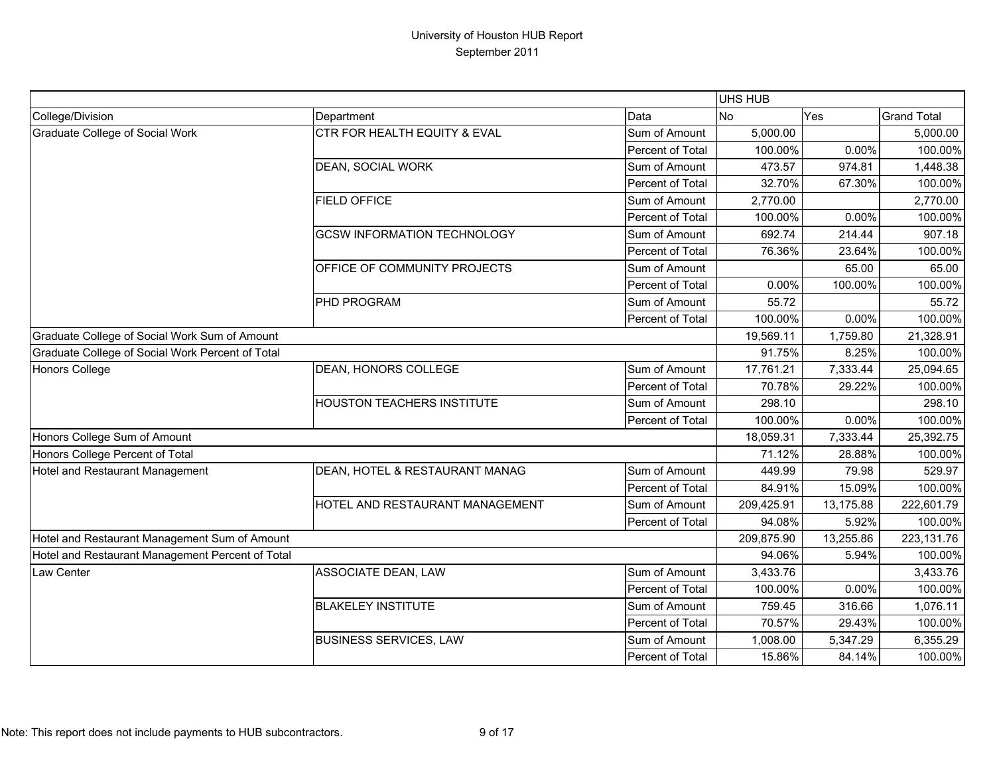|                                                  |                                    |                  | UHS HUB    |           |                    |
|--------------------------------------------------|------------------------------------|------------------|------------|-----------|--------------------|
| College/Division                                 | Department                         | Data             | <b>No</b>  | Yes       | <b>Grand Total</b> |
| <b>Graduate College of Social Work</b>           | CTR FOR HEALTH EQUITY & EVAL       | Sum of Amount    | 5,000.00   |           | 5,000.00           |
|                                                  |                                    | Percent of Total | 100.00%    | 0.00%     | 100.00%            |
|                                                  | DEAN, SOCIAL WORK                  | Sum of Amount    | 473.57     | 974.81    | 1,448.38           |
|                                                  |                                    | Percent of Total | 32.70%     | 67.30%    | 100.00%            |
|                                                  | <b>FIELD OFFICE</b>                | Sum of Amount    | 2,770.00   |           | 2,770.00           |
|                                                  |                                    | Percent of Total | 100.00%    | 0.00%     | 100.00%            |
|                                                  | <b>GCSW INFORMATION TECHNOLOGY</b> | Sum of Amount    | 692.74     | 214.44    | 907.18             |
|                                                  |                                    | Percent of Total | 76.36%     | 23.64%    | 100.00%            |
|                                                  | OFFICE OF COMMUNITY PROJECTS       | Sum of Amount    |            | 65.00     | 65.00              |
|                                                  |                                    | Percent of Total | 0.00%      | 100.00%   | 100.00%            |
|                                                  | PHD PROGRAM                        | Sum of Amount    | 55.72      |           | 55.72              |
|                                                  |                                    | Percent of Total | 100.00%    | 0.00%     | 100.00%            |
| Graduate College of Social Work Sum of Amount    |                                    |                  | 19,569.11  | 1,759.80  | 21,328.91          |
| Graduate College of Social Work Percent of Total |                                    |                  | 91.75%     | 8.25%     | 100.00%            |
| Honors College                                   | DEAN, HONORS COLLEGE               | Sum of Amount    | 17,761.21  | 7,333.44  | 25,094.65          |
|                                                  |                                    | Percent of Total | 70.78%     | 29.22%    | 100.00%            |
|                                                  | <b>HOUSTON TEACHERS INSTITUTE</b>  | Sum of Amount    | 298.10     |           | 298.10             |
|                                                  |                                    | Percent of Total | 100.00%    | 0.00%     | 100.00%            |
| Honors College Sum of Amount                     |                                    |                  | 18,059.31  | 7,333.44  | 25,392.75          |
| Honors College Percent of Total                  |                                    |                  | 71.12%     | 28.88%    | 100.00%            |
| Hotel and Restaurant Management                  | DEAN, HOTEL & RESTAURANT MANAG     | Sum of Amount    | 449.99     | 79.98     | 529.97             |
|                                                  |                                    | Percent of Total | 84.91%     | 15.09%    | 100.00%            |
|                                                  | HOTEL AND RESTAURANT MANAGEMENT    | Sum of Amount    | 209,425.91 | 13,175.88 | 222,601.79         |
|                                                  |                                    | Percent of Total | 94.08%     | 5.92%     | 100.00%            |
| Hotel and Restaurant Management Sum of Amount    |                                    |                  | 209,875.90 | 13,255.86 | 223,131.76         |
| Hotel and Restaurant Management Percent of Total |                                    |                  | 94.06%     | 5.94%     | 100.00%            |
| Law Center                                       | ASSOCIATE DEAN, LAW                | Sum of Amount    | 3,433.76   |           | 3,433.76           |
|                                                  |                                    | Percent of Total | 100.00%    | 0.00%     | 100.00%            |
|                                                  | <b>BLAKELEY INSTITUTE</b>          | Sum of Amount    | 759.45     | 316.66    | 1,076.11           |
|                                                  |                                    | Percent of Total | 70.57%     | 29.43%    | 100.00%            |
|                                                  | <b>BUSINESS SERVICES, LAW</b>      | Sum of Amount    | 1,008.00   | 5,347.29  | 6,355.29           |
|                                                  |                                    | Percent of Total | 15.86%     | 84.14%    | 100.00%            |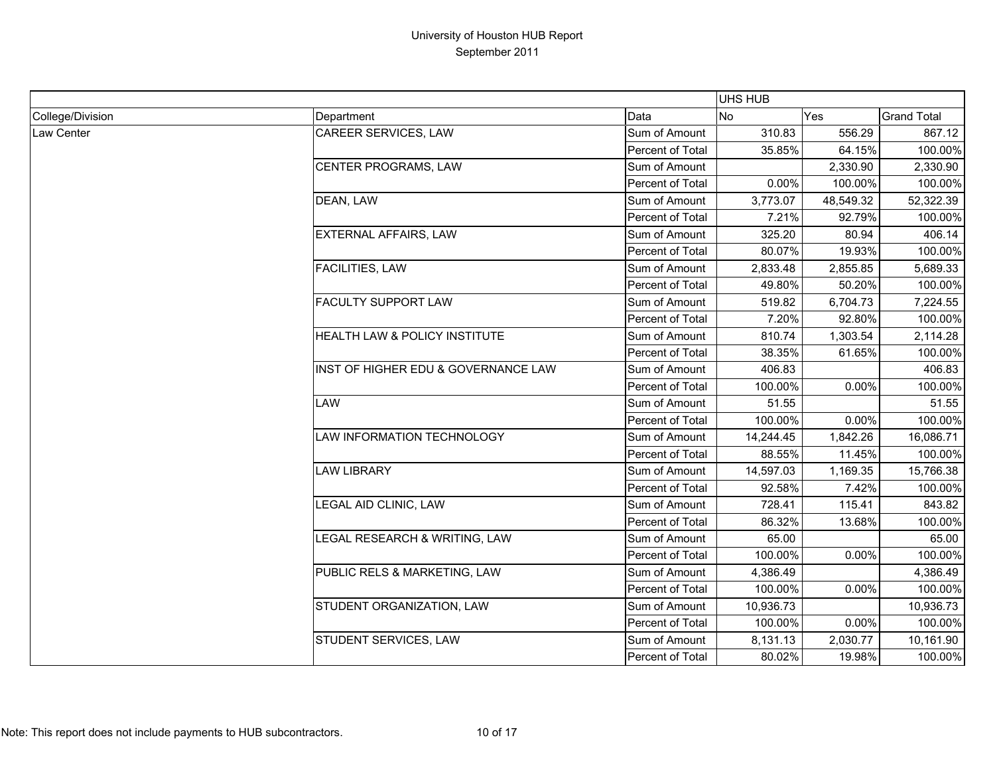|                  |                                     |                  | UHS HUB   |           |                    |
|------------------|-------------------------------------|------------------|-----------|-----------|--------------------|
| College/Division | Department                          | Data             | <b>No</b> | Yes       | <b>Grand Total</b> |
| Law Center       | <b>CAREER SERVICES, LAW</b>         | Sum of Amount    | 310.83    | 556.29    | 867.12             |
|                  |                                     | Percent of Total | 35.85%    | 64.15%    | 100.00%            |
|                  | CENTER PROGRAMS, LAW                | Sum of Amount    |           | 2,330.90  | 2,330.90           |
|                  |                                     | Percent of Total | 0.00%     | 100.00%   | 100.00%            |
|                  | DEAN, LAW                           | Sum of Amount    | 3,773.07  | 48,549.32 | 52,322.39          |
|                  |                                     | Percent of Total | 7.21%     | 92.79%    | 100.00%            |
|                  | <b>EXTERNAL AFFAIRS, LAW</b>        | Sum of Amount    | 325.20    | 80.94     | 406.14             |
|                  |                                     | Percent of Total | 80.07%    | 19.93%    | 100.00%            |
|                  | <b>FACILITIES, LAW</b>              | Sum of Amount    | 2,833.48  | 2,855.85  | 5,689.33           |
|                  |                                     | Percent of Total | 49.80%    | 50.20%    | 100.00%            |
|                  | <b>FACULTY SUPPORT LAW</b>          | Sum of Amount    | 519.82    | 6,704.73  | 7,224.55           |
|                  |                                     | Percent of Total | 7.20%     | 92.80%    | 100.00%            |
|                  | HEALTH LAW & POLICY INSTITUTE       | Sum of Amount    | 810.74    | 1,303.54  | 2,114.28           |
|                  |                                     | Percent of Total | 38.35%    | 61.65%    | 100.00%            |
|                  | INST OF HIGHER EDU & GOVERNANCE LAW | Sum of Amount    | 406.83    |           | 406.83             |
|                  |                                     | Percent of Total | 100.00%   | 0.00%     | 100.00%            |
|                  | LAW                                 | Sum of Amount    | 51.55     |           | 51.55              |
|                  |                                     | Percent of Total | 100.00%   | 0.00%     | 100.00%            |
|                  | LAW INFORMATION TECHNOLOGY          | Sum of Amount    | 14,244.45 | 1,842.26  | 16,086.71          |
|                  |                                     | Percent of Total | 88.55%    | 11.45%    | 100.00%            |
|                  | <b>LAW LIBRARY</b>                  | Sum of Amount    | 14,597.03 | 1,169.35  | 15,766.38          |
|                  |                                     | Percent of Total | 92.58%    | 7.42%     | 100.00%            |
|                  | LEGAL AID CLINIC, LAW               | Sum of Amount    | 728.41    | 115.41    | 843.82             |
|                  |                                     | Percent of Total | 86.32%    | 13.68%    | 100.00%            |
|                  | LEGAL RESEARCH & WRITING, LAW       | Sum of Amount    | 65.00     |           | 65.00              |
|                  |                                     | Percent of Total | 100.00%   | 0.00%     | 100.00%            |
|                  | PUBLIC RELS & MARKETING, LAW        | Sum of Amount    | 4,386.49  |           | 4,386.49           |
|                  |                                     | Percent of Total | 100.00%   | 0.00%     | 100.00%            |
|                  | STUDENT ORGANIZATION, LAW           | Sum of Amount    | 10,936.73 |           | 10,936.73          |
|                  |                                     | Percent of Total | 100.00%   | 0.00%     | 100.00%            |
|                  | STUDENT SERVICES, LAW               | Sum of Amount    | 8,131.13  | 2,030.77  | 10,161.90          |
|                  |                                     | Percent of Total | 80.02%    | 19.98%    | 100.00%            |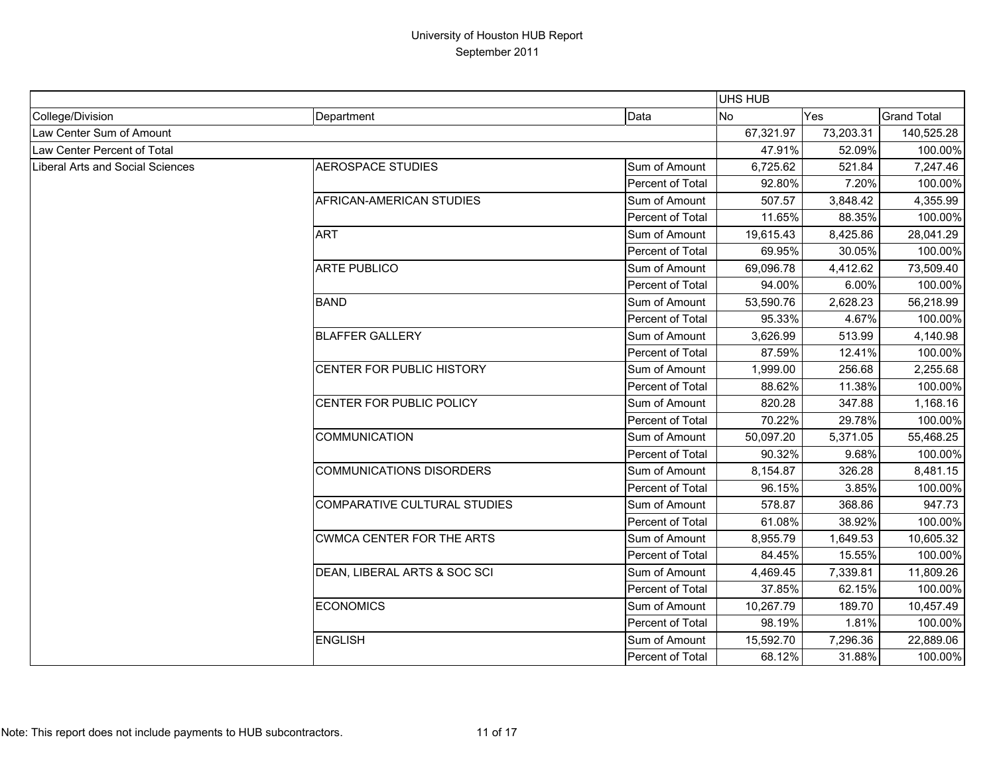|                                         |                                     |                         | <b>UHS HUB</b> |           |                    |
|-----------------------------------------|-------------------------------------|-------------------------|----------------|-----------|--------------------|
| College/Division                        | Department                          | Data                    | <b>No</b>      | Yes       | <b>Grand Total</b> |
| Law Center Sum of Amount                |                                     |                         | 67,321.97      | 73,203.31 | 140,525.28         |
| Law Center Percent of Total             |                                     |                         | 47.91%         | 52.09%    | 100.00%            |
| <b>Liberal Arts and Social Sciences</b> | <b>AEROSPACE STUDIES</b>            | Sum of Amount           | 6,725.62       | 521.84    | 7,247.46           |
|                                         |                                     | Percent of Total        | 92.80%         | 7.20%     | 100.00%            |
|                                         | AFRICAN-AMERICAN STUDIES            | Sum of Amount           | 507.57         | 3,848.42  | 4,355.99           |
|                                         |                                     | Percent of Total        | 11.65%         | 88.35%    | 100.00%            |
|                                         | <b>ART</b>                          | Sum of Amount           | 19,615.43      | 8,425.86  | 28,041.29          |
|                                         |                                     | Percent of Total        | 69.95%         | 30.05%    | 100.00%            |
|                                         | <b>ARTE PUBLICO</b>                 | Sum of Amount           | 69,096.78      | 4,412.62  | 73,509.40          |
|                                         |                                     | Percent of Total        | 94.00%         | 6.00%     | 100.00%            |
|                                         | <b>BAND</b>                         | Sum of Amount           | 53,590.76      | 2,628.23  | 56,218.99          |
|                                         |                                     | Percent of Total        | 95.33%         | 4.67%     | 100.00%            |
|                                         | <b>BLAFFER GALLERY</b>              | Sum of Amount           | 3,626.99       | 513.99    | 4,140.98           |
|                                         |                                     | <b>Percent of Total</b> | 87.59%         | 12.41%    | 100.00%            |
|                                         | CENTER FOR PUBLIC HISTORY           | Sum of Amount           | 1,999.00       | 256.68    | 2,255.68           |
|                                         |                                     | Percent of Total        | 88.62%         | 11.38%    | 100.00%            |
|                                         | CENTER FOR PUBLIC POLICY            | Sum of Amount           | 820.28         | 347.88    | 1,168.16           |
|                                         |                                     | <b>Percent of Total</b> | 70.22%         | 29.78%    | 100.00%            |
|                                         | <b>COMMUNICATION</b>                | Sum of Amount           | 50,097.20      | 5,371.05  | 55,468.25          |
|                                         |                                     | Percent of Total        | 90.32%         | 9.68%     | 100.00%            |
|                                         | <b>COMMUNICATIONS DISORDERS</b>     | Sum of Amount           | 8,154.87       | 326.28    | 8,481.15           |
|                                         |                                     | Percent of Total        | 96.15%         | 3.85%     | 100.00%            |
|                                         | <b>COMPARATIVE CULTURAL STUDIES</b> | Sum of Amount           | 578.87         | 368.86    | 947.73             |
|                                         |                                     | Percent of Total        | 61.08%         | 38.92%    | 100.00%            |
|                                         | <b>CWMCA CENTER FOR THE ARTS</b>    | Sum of Amount           | 8,955.79       | 1,649.53  | 10,605.32          |
|                                         |                                     | Percent of Total        | 84.45%         | 15.55%    | 100.00%            |
|                                         | DEAN, LIBERAL ARTS & SOC SCI        | Sum of Amount           | 4,469.45       | 7,339.81  | 11,809.26          |
|                                         |                                     | Percent of Total        | 37.85%         | 62.15%    | 100.00%            |
|                                         | <b>ECONOMICS</b>                    | Sum of Amount           | 10,267.79      | 189.70    | 10,457.49          |
|                                         |                                     | Percent of Total        | 98.19%         | 1.81%     | 100.00%            |
|                                         | <b>ENGLISH</b>                      | Sum of Amount           | 15,592.70      | 7,296.36  | 22,889.06          |
|                                         |                                     | Percent of Total        | 68.12%         | 31.88%    | 100.00%            |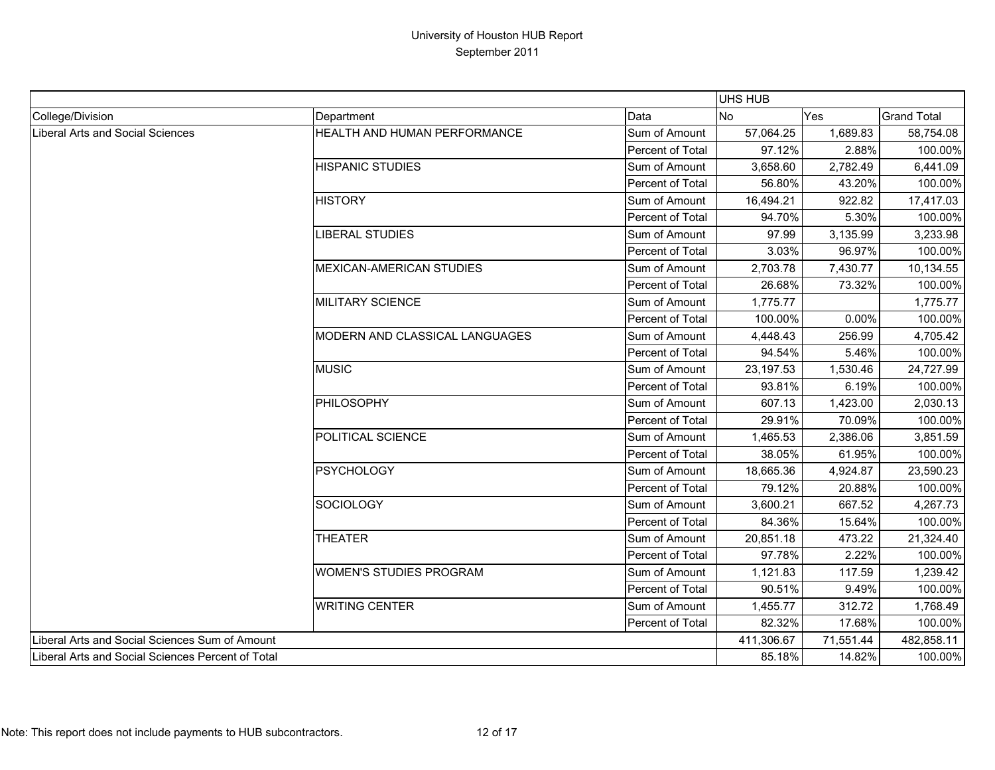|                                                   |                                       |                  | <b>UHS HUB</b> |           |                    |
|---------------------------------------------------|---------------------------------------|------------------|----------------|-----------|--------------------|
| College/Division                                  | Department                            | Data             | <b>No</b>      | Yes       | <b>Grand Total</b> |
| Liberal Arts and Social Sciences                  | <b>HEALTH AND HUMAN PERFORMANCE</b>   | Sum of Amount    | 57,064.25      | 1,689.83  | 58,754.08          |
|                                                   |                                       | Percent of Total | 97.12%         | 2.88%     | 100.00%            |
|                                                   | <b>HISPANIC STUDIES</b>               | Sum of Amount    | 3,658.60       | 2,782.49  | 6,441.09           |
|                                                   |                                       | Percent of Total | 56.80%         | 43.20%    | 100.00%            |
|                                                   | <b>HISTORY</b>                        | Sum of Amount    | 16,494.21      | 922.82    | 17,417.03          |
|                                                   |                                       | Percent of Total | 94.70%         | 5.30%     | 100.00%            |
|                                                   | LIBERAL STUDIES                       | Sum of Amount    | 97.99          | 3,135.99  | 3,233.98           |
|                                                   |                                       | Percent of Total | 3.03%          | 96.97%    | 100.00%            |
|                                                   | MEXICAN-AMERICAN STUDIES              | Sum of Amount    | 2,703.78       | 7,430.77  | 10,134.55          |
|                                                   |                                       | Percent of Total | 26.68%         | 73.32%    | 100.00%            |
|                                                   | <b>MILITARY SCIENCE</b>               | Sum of Amount    | 1,775.77       |           | 1,775.77           |
|                                                   |                                       | Percent of Total | 100.00%        | 0.00%     | 100.00%            |
|                                                   | <b>MODERN AND CLASSICAL LANGUAGES</b> | Sum of Amount    | 4,448.43       | 256.99    | 4,705.42           |
|                                                   |                                       | Percent of Total | 94.54%         | 5.46%     | 100.00%            |
|                                                   | <b>MUSIC</b>                          | Sum of Amount    | 23,197.53      | 1,530.46  | 24,727.99          |
|                                                   |                                       | Percent of Total | 93.81%         | 6.19%     | 100.00%            |
|                                                   | PHILOSOPHY                            | Sum of Amount    | 607.13         | 1,423.00  | 2,030.13           |
|                                                   |                                       | Percent of Total | 29.91%         | 70.09%    | 100.00%            |
|                                                   | <b>POLITICAL SCIENCE</b>              | Sum of Amount    | 1,465.53       | 2,386.06  | 3,851.59           |
|                                                   |                                       | Percent of Total | 38.05%         | 61.95%    | 100.00%            |
|                                                   | PSYCHOLOGY                            | Sum of Amount    | 18,665.36      | 4,924.87  | 23,590.23          |
|                                                   |                                       | Percent of Total | 79.12%         | 20.88%    | 100.00%            |
|                                                   | SOCIOLOGY                             | Sum of Amount    | 3,600.21       | 667.52    | 4,267.73           |
|                                                   |                                       | Percent of Total | 84.36%         | 15.64%    | 100.00%            |
|                                                   | <b>THEATER</b>                        | Sum of Amount    | 20,851.18      | 473.22    | 21,324.40          |
|                                                   |                                       | Percent of Total | 97.78%         | 2.22%     | 100.00%            |
|                                                   | <b>WOMEN'S STUDIES PROGRAM</b>        | Sum of Amount    | 1,121.83       | 117.59    | 1,239.42           |
|                                                   |                                       | Percent of Total | 90.51%         | 9.49%     | 100.00%            |
|                                                   | <b>WRITING CENTER</b>                 | Sum of Amount    | 1,455.77       | 312.72    | 1,768.49           |
|                                                   |                                       | Percent of Total | 82.32%         | 17.68%    | 100.00%            |
| Liberal Arts and Social Sciences Sum of Amount    |                                       |                  | 411,306.67     | 71,551.44 | 482,858.11         |
| Liberal Arts and Social Sciences Percent of Total |                                       |                  | 85.18%         | 14.82%    | 100.00%            |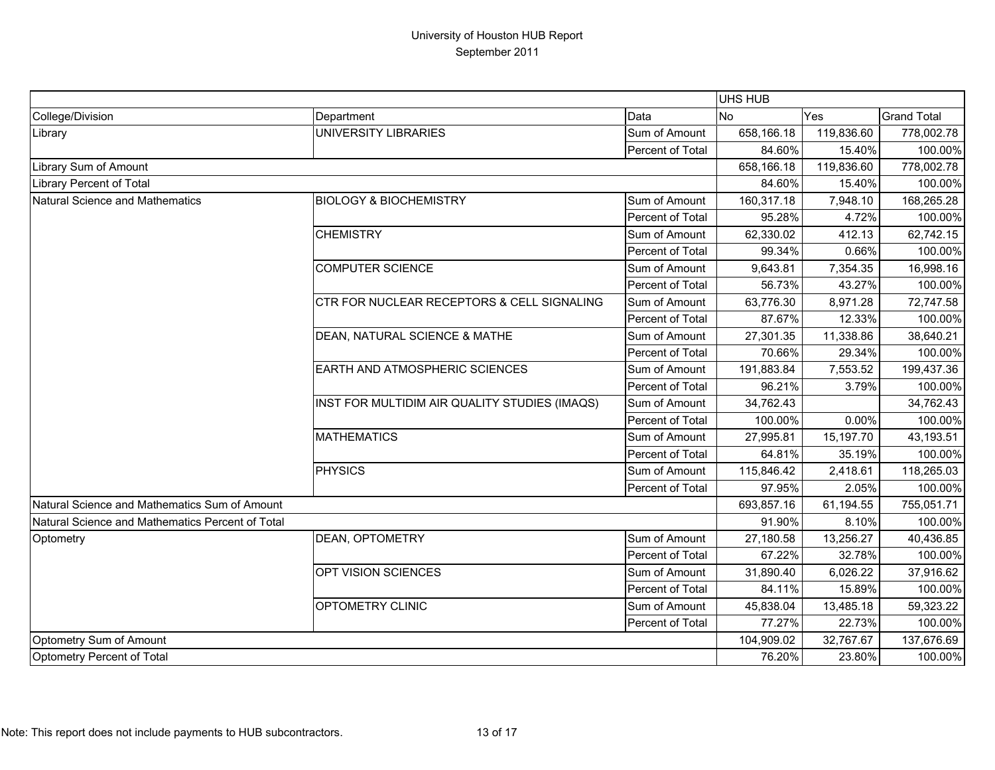|                                                  |                                               |                  | UHS HUB    |            |                    |
|--------------------------------------------------|-----------------------------------------------|------------------|------------|------------|--------------------|
| College/Division                                 | Department                                    | Data             | No<br>Yes  |            | <b>Grand Total</b> |
| Library                                          | UNIVERSITY LIBRARIES                          | Sum of Amount    | 658,166.18 | 119,836.60 | 778,002.78         |
|                                                  |                                               | Percent of Total | 84.60%     | 15.40%     | 100.00%            |
| Library Sum of Amount                            |                                               |                  | 658,166.18 | 119,836.60 | 778,002.78         |
| Library Percent of Total                         |                                               |                  | 84.60%     | 15.40%     | 100.00%            |
| Natural Science and Mathematics                  | <b>BIOLOGY &amp; BIOCHEMISTRY</b>             | Sum of Amount    | 160,317.18 | 7,948.10   | 168,265.28         |
|                                                  |                                               | Percent of Total | 95.28%     | 4.72%      | 100.00%            |
|                                                  | <b>CHEMISTRY</b>                              | Sum of Amount    | 62,330.02  | 412.13     | 62,742.15          |
|                                                  |                                               | Percent of Total | 99.34%     | 0.66%      | 100.00%            |
|                                                  | <b>COMPUTER SCIENCE</b>                       | Sum of Amount    | 9,643.81   | 7,354.35   | 16,998.16          |
|                                                  |                                               | Percent of Total | 56.73%     | 43.27%     | 100.00%            |
|                                                  | CTR FOR NUCLEAR RECEPTORS & CELL SIGNALING    | Sum of Amount    | 63,776.30  | 8,971.28   | 72,747.58          |
|                                                  |                                               | Percent of Total | 87.67%     | 12.33%     | 100.00%            |
|                                                  | DEAN, NATURAL SCIENCE & MATHE                 | Sum of Amount    | 27,301.35  | 11,338.86  | 38,640.21          |
|                                                  |                                               | Percent of Total | 70.66%     | 29.34%     | 100.00%            |
|                                                  | EARTH AND ATMOSPHERIC SCIENCES                | Sum of Amount    | 191,883.84 | 7,553.52   | 199,437.36         |
|                                                  |                                               | Percent of Total | 96.21%     | 3.79%      | 100.00%            |
|                                                  | INST FOR MULTIDIM AIR QUALITY STUDIES (IMAQS) | Sum of Amount    | 34,762.43  |            | 34,762.43          |
|                                                  |                                               | Percent of Total | 100.00%    | 0.00%      | 100.00%            |
|                                                  | <b>MATHEMATICS</b>                            | Sum of Amount    | 27,995.81  | 15,197.70  | 43,193.51          |
|                                                  |                                               | Percent of Total | 64.81%     | 35.19%     | 100.00%            |
|                                                  | <b>PHYSICS</b>                                | Sum of Amount    | 115,846.42 | 2,418.61   | 118,265.03         |
|                                                  |                                               | Percent of Total | 97.95%     | 2.05%      | 100.00%            |
| Natural Science and Mathematics Sum of Amount    |                                               |                  | 693,857.16 | 61,194.55  | 755,051.71         |
| Natural Science and Mathematics Percent of Total |                                               |                  | 91.90%     | 8.10%      | 100.00%            |
| Optometry                                        | DEAN, OPTOMETRY                               | Sum of Amount    | 27,180.58  | 13,256.27  | 40,436.85          |
|                                                  |                                               | Percent of Total | 67.22%     | 32.78%     | 100.00%            |
|                                                  | OPT VISION SCIENCES                           | Sum of Amount    | 31,890.40  | 6,026.22   | 37,916.62          |
|                                                  |                                               | Percent of Total | 84.11%     | 15.89%     | 100.00%            |
|                                                  | OPTOMETRY CLINIC                              | Sum of Amount    | 45,838.04  | 13,485.18  | 59,323.22          |
|                                                  |                                               | Percent of Total | 77.27%     | 22.73%     | 100.00%            |
| Optometry Sum of Amount                          |                                               |                  | 104,909.02 | 32,767.67  | 137,676.69         |
| Optometry Percent of Total                       |                                               |                  | 76.20%     | 23.80%     | 100.00%            |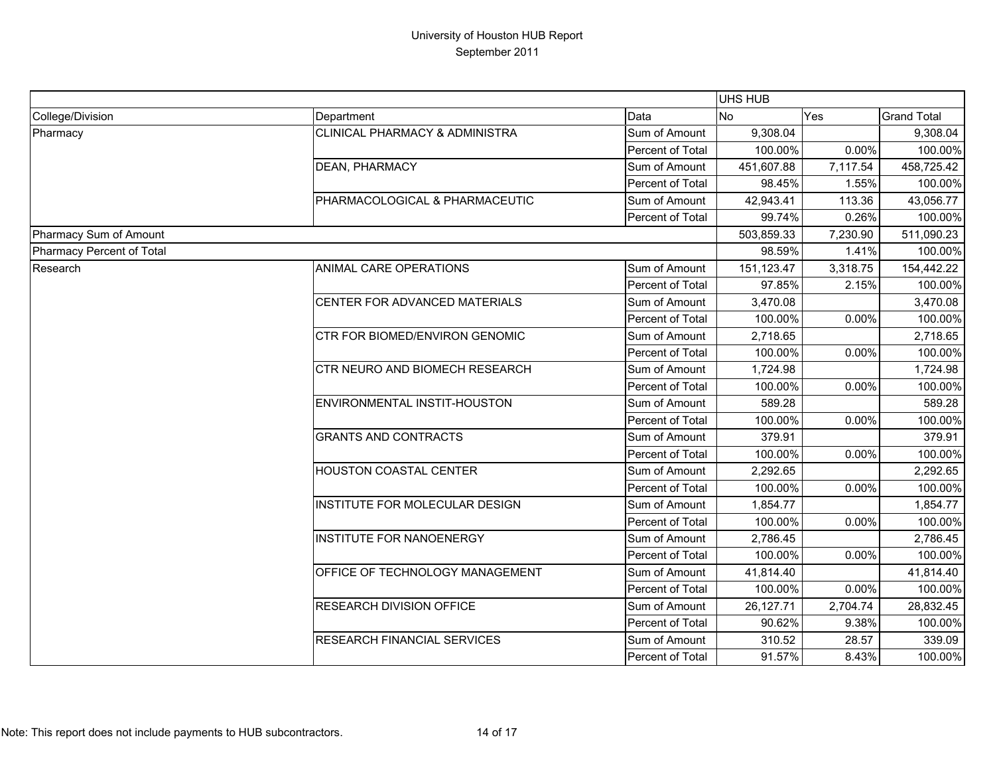|                           |                                           |                  | <b>UHS HUB</b> |          |                    |
|---------------------------|-------------------------------------------|------------------|----------------|----------|--------------------|
| College/Division          | Department                                | Data             | No             | Yes      | <b>Grand Total</b> |
| Pharmacy                  | <b>CLINICAL PHARMACY &amp; ADMINISTRA</b> | Sum of Amount    | 9,308.04       |          | 9,308.04           |
|                           |                                           | Percent of Total | 100.00%        | 0.00%    | 100.00%            |
|                           | <b>DEAN, PHARMACY</b>                     | Sum of Amount    | 451,607.88     | 7,117.54 | 458,725.42         |
|                           |                                           | Percent of Total | 98.45%         | 1.55%    | 100.00%            |
|                           | PHARMACOLOGICAL & PHARMACEUTIC            | Sum of Amount    | 42,943.41      | 113.36   | 43,056.77          |
|                           |                                           | Percent of Total | 99.74%         | 0.26%    | 100.00%            |
| Pharmacy Sum of Amount    |                                           |                  | 503,859.33     | 7,230.90 | 511,090.23         |
| Pharmacy Percent of Total |                                           |                  | 98.59%         | 1.41%    | 100.00%            |
| Research                  | ANIMAL CARE OPERATIONS                    | Sum of Amount    | 151,123.47     | 3,318.75 | 154,442.22         |
|                           |                                           | Percent of Total | 97.85%         | 2.15%    | 100.00%            |
|                           | CENTER FOR ADVANCED MATERIALS             | Sum of Amount    | 3,470.08       |          | 3,470.08           |
|                           |                                           | Percent of Total | 100.00%        | 0.00%    | 100.00%            |
|                           | CTR FOR BIOMED/ENVIRON GENOMIC            | Sum of Amount    | 2,718.65       |          | 2,718.65           |
|                           |                                           | Percent of Total | 100.00%        | 0.00%    | 100.00%            |
|                           | <b>CTR NEURO AND BIOMECH RESEARCH</b>     | Sum of Amount    | 1,724.98       |          | 1,724.98           |
|                           |                                           | Percent of Total | 100.00%        | 0.00%    | 100.00%            |
|                           | ENVIRONMENTAL INSTIT-HOUSTON              | Sum of Amount    | 589.28         |          | 589.28             |
|                           |                                           | Percent of Total | 100.00%        | 0.00%    | 100.00%            |
|                           | <b>GRANTS AND CONTRACTS</b>               | Sum of Amount    | 379.91         |          | 379.91             |
|                           |                                           | Percent of Total | 100.00%        | 0.00%    | 100.00%            |
|                           | HOUSTON COASTAL CENTER                    | Sum of Amount    | 2,292.65       |          | 2,292.65           |
|                           |                                           | Percent of Total | 100.00%        | 0.00%    | 100.00%            |
|                           | INSTITUTE FOR MOLECULAR DESIGN            | Sum of Amount    | 1,854.77       |          | 1,854.77           |
|                           |                                           | Percent of Total | 100.00%        | 0.00%    | 100.00%            |
|                           | <b>INSTITUTE FOR NANOENERGY</b>           | Sum of Amount    | 2,786.45       |          | 2,786.45           |
|                           |                                           | Percent of Total | 100.00%        | 0.00%    | 100.00%            |
|                           | OFFICE OF TECHNOLOGY MANAGEMENT           | Sum of Amount    | 41,814.40      |          | 41,814.40          |
|                           |                                           | Percent of Total | 100.00%        | 0.00%    | 100.00%            |
|                           | RESEARCH DIVISION OFFICE                  | Sum of Amount    | 26,127.71      | 2,704.74 | 28,832.45          |
|                           |                                           | Percent of Total | 90.62%         | 9.38%    | 100.00%            |
|                           | RESEARCH FINANCIAL SERVICES               | Sum of Amount    | 310.52         | 28.57    | 339.09             |
|                           |                                           | Percent of Total | 91.57%         | 8.43%    | 100.00%            |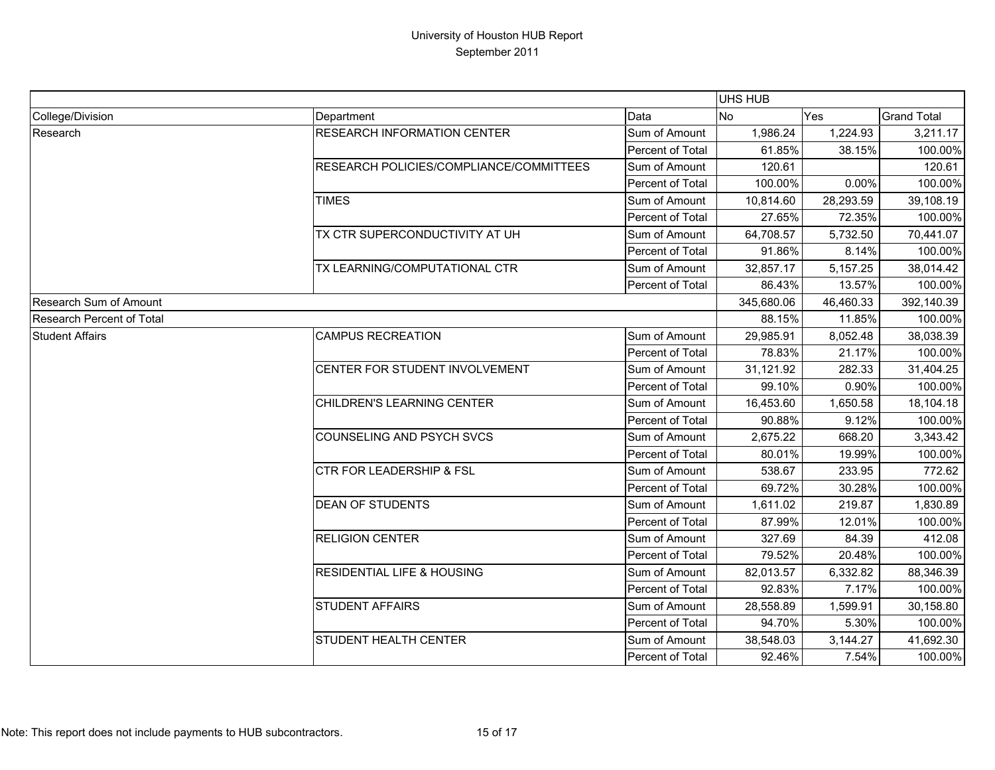|                                  |                                         |                  | UHS HUB    |           |                    |
|----------------------------------|-----------------------------------------|------------------|------------|-----------|--------------------|
| College/Division                 | Department                              | Data             | <b>No</b>  | Yes       | <b>Grand Total</b> |
| Research                         | <b>RESEARCH INFORMATION CENTER</b>      | Sum of Amount    | 1,986.24   | 1,224.93  | 3,211.17           |
|                                  |                                         | Percent of Total | 61.85%     | 38.15%    | 100.00%            |
|                                  | RESEARCH POLICIES/COMPLIANCE/COMMITTEES | Sum of Amount    | 120.61     |           | 120.61             |
|                                  |                                         | Percent of Total | 100.00%    | 0.00%     | 100.00%            |
|                                  | <b>TIMES</b>                            | Sum of Amount    | 10,814.60  | 28,293.59 | 39,108.19          |
|                                  |                                         | Percent of Total | 27.65%     | 72.35%    | 100.00%            |
|                                  | TX CTR SUPERCONDUCTIVITY AT UH          | Sum of Amount    | 64,708.57  | 5,732.50  | 70,441.07          |
|                                  |                                         | Percent of Total | 91.86%     | 8.14%     | 100.00%            |
|                                  | TX LEARNING/COMPUTATIONAL CTR           | Sum of Amount    | 32,857.17  | 5,157.25  | 38,014.42          |
|                                  |                                         | Percent of Total | 86.43%     | 13.57%    | 100.00%            |
| Research Sum of Amount           |                                         |                  | 345,680.06 | 46,460.33 | 392,140.39         |
| <b>Research Percent of Total</b> |                                         |                  | 88.15%     | 11.85%    | 100.00%            |
| <b>Student Affairs</b>           | <b>CAMPUS RECREATION</b>                | Sum of Amount    | 29,985.91  | 8,052.48  | 38,038.39          |
|                                  |                                         | Percent of Total | 78.83%     | 21.17%    | 100.00%            |
|                                  | CENTER FOR STUDENT INVOLVEMENT          | Sum of Amount    | 31,121.92  | 282.33    | 31,404.25          |
|                                  |                                         | Percent of Total | 99.10%     | 0.90%     | 100.00%            |
|                                  | CHILDREN'S LEARNING CENTER              | Sum of Amount    | 16,453.60  | 1,650.58  | 18,104.18          |
|                                  |                                         | Percent of Total | 90.88%     | 9.12%     | 100.00%            |
|                                  | COUNSELING AND PSYCH SVCS               | Sum of Amount    | 2,675.22   | 668.20    | 3,343.42           |
|                                  |                                         | Percent of Total | 80.01%     | 19.99%    | 100.00%            |
|                                  | CTR FOR LEADERSHIP & FSL                | Sum of Amount    | 538.67     | 233.95    | 772.62             |
|                                  |                                         | Percent of Total | 69.72%     | 30.28%    | 100.00%            |
|                                  | <b>DEAN OF STUDENTS</b>                 | Sum of Amount    | 1,611.02   | 219.87    | 1,830.89           |
|                                  |                                         | Percent of Total | 87.99%     | 12.01%    | 100.00%            |
|                                  | <b>RELIGION CENTER</b>                  | Sum of Amount    | 327.69     | 84.39     | 412.08             |
|                                  |                                         | Percent of Total | 79.52%     | 20.48%    | 100.00%            |
|                                  | <b>RESIDENTIAL LIFE &amp; HOUSING</b>   | Sum of Amount    | 82,013.57  | 6,332.82  | 88,346.39          |
|                                  |                                         | Percent of Total | 92.83%     | 7.17%     | 100.00%            |
|                                  | <b>STUDENT AFFAIRS</b>                  | Sum of Amount    | 28,558.89  | 1,599.91  | 30,158.80          |
|                                  |                                         | Percent of Total | 94.70%     | 5.30%     | 100.00%            |
|                                  | STUDENT HEALTH CENTER                   | Sum of Amount    | 38,548.03  | 3,144.27  | 41,692.30          |
|                                  |                                         | Percent of Total | 92.46%     | 7.54%     | 100.00%            |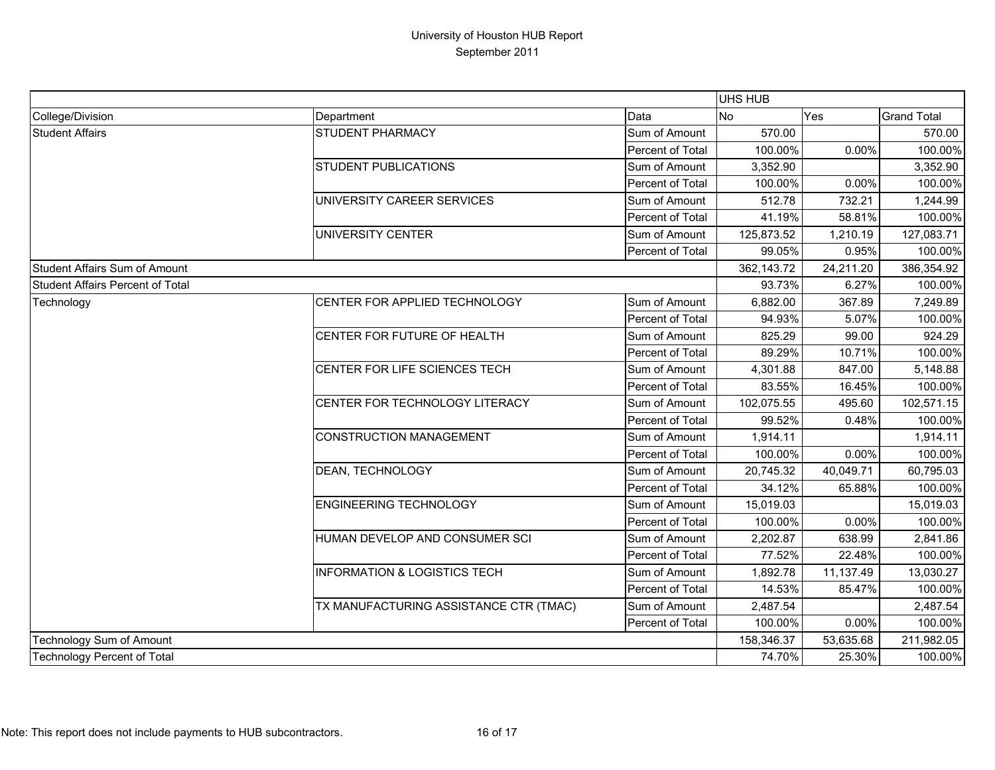|                                  |                                         |                  | UHS HUB    |           |                    |
|----------------------------------|-----------------------------------------|------------------|------------|-----------|--------------------|
| College/Division                 | Department                              | Data             | <b>No</b>  | Yes       | <b>Grand Total</b> |
| <b>Student Affairs</b>           | STUDENT PHARMACY                        | Sum of Amount    | 570.00     |           | 570.00             |
|                                  |                                         | Percent of Total | 100.00%    | 0.00%     | 100.00%            |
|                                  | <b>STUDENT PUBLICATIONS</b>             | Sum of Amount    | 3,352.90   |           | 3,352.90           |
|                                  |                                         | Percent of Total | 100.00%    | 0.00%     | 100.00%            |
|                                  | UNIVERSITY CAREER SERVICES              | Sum of Amount    | 512.78     | 732.21    | 1,244.99           |
|                                  |                                         | Percent of Total | 41.19%     | 58.81%    | 100.00%            |
|                                  | UNIVERSITY CENTER                       | Sum of Amount    | 125,873.52 | 1,210.19  | 127,083.71         |
|                                  |                                         | Percent of Total | 99.05%     | 0.95%     | 100.00%            |
| Student Affairs Sum of Amount    |                                         |                  | 362,143.72 | 24,211.20 | 386,354.92         |
| Student Affairs Percent of Total |                                         |                  | 93.73%     | 6.27%     | 100.00%            |
| Technology                       | CENTER FOR APPLIED TECHNOLOGY           | Sum of Amount    | 6,882.00   | 367.89    | 7,249.89           |
|                                  |                                         | Percent of Total | 94.93%     | 5.07%     | 100.00%            |
|                                  | CENTER FOR FUTURE OF HEALTH             | Sum of Amount    | 825.29     | 99.00     | 924.29             |
|                                  |                                         | Percent of Total | 89.29%     | 10.71%    | 100.00%            |
|                                  | CENTER FOR LIFE SCIENCES TECH           | Sum of Amount    | 4,301.88   | 847.00    | 5,148.88           |
|                                  |                                         | Percent of Total | 83.55%     | 16.45%    | 100.00%            |
|                                  | CENTER FOR TECHNOLOGY LITERACY          | Sum of Amount    | 102,075.55 | 495.60    | 102,571.15         |
|                                  |                                         | Percent of Total | 99.52%     | 0.48%     | 100.00%            |
|                                  | <b>CONSTRUCTION MANAGEMENT</b>          | Sum of Amount    | 1,914.11   |           | 1,914.11           |
|                                  |                                         | Percent of Total | 100.00%    | 0.00%     | 100.00%            |
|                                  | DEAN, TECHNOLOGY                        | Sum of Amount    | 20,745.32  | 40,049.71 | 60,795.03          |
|                                  |                                         | Percent of Total | 34.12%     | 65.88%    | 100.00%            |
|                                  | <b>ENGINEERING TECHNOLOGY</b>           | Sum of Amount    | 15,019.03  |           | 15,019.03          |
|                                  |                                         | Percent of Total | 100.00%    | 0.00%     | 100.00%            |
|                                  | HUMAN DEVELOP AND CONSUMER SCI          | Sum of Amount    | 2,202.87   | 638.99    | 2,841.86           |
|                                  |                                         | Percent of Total | 77.52%     | 22.48%    | 100.00%            |
|                                  | <b>INFORMATION &amp; LOGISTICS TECH</b> | Sum of Amount    | 1,892.78   | 11,137.49 | 13,030.27          |
|                                  |                                         | Percent of Total | 14.53%     | 85.47%    | 100.00%            |
|                                  | TX MANUFACTURING ASSISTANCE CTR (TMAC)  | Sum of Amount    | 2,487.54   |           | 2,487.54           |
|                                  |                                         | Percent of Total | 100.00%    | 0.00%     | 100.00%            |
| Technology Sum of Amount         |                                         |                  | 158,346.37 | 53,635.68 | 211,982.05         |
| Technology Percent of Total      |                                         |                  | 74.70%     | 25.30%    | 100.00%            |